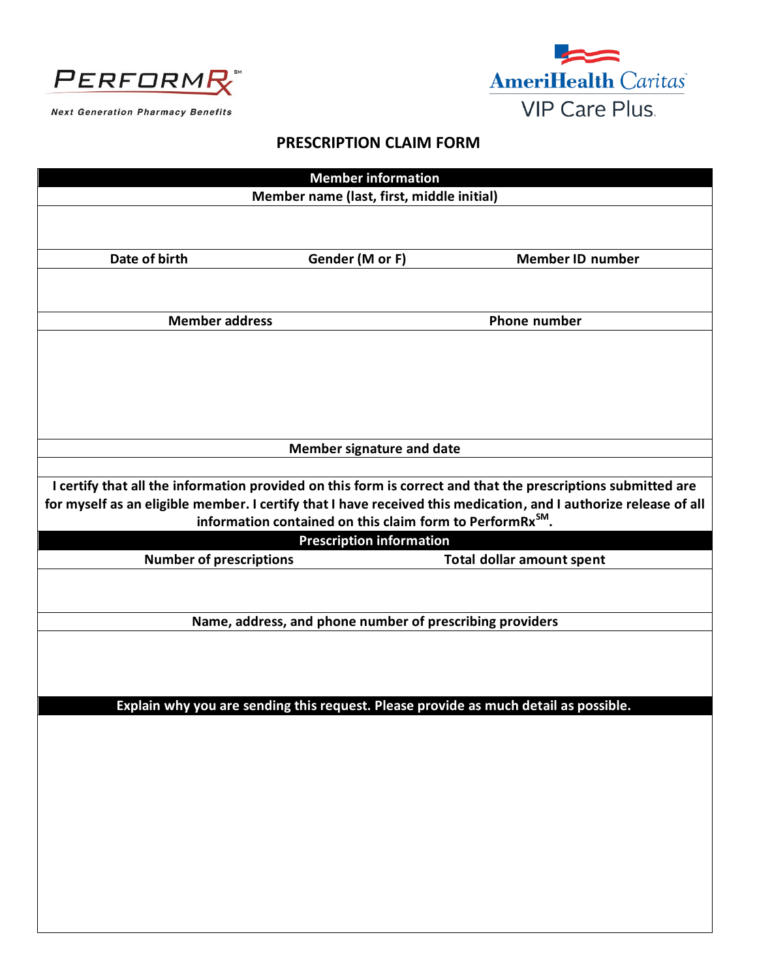



**Next Generation Pharmacy Benefits** 

## **PRESCRIPTION CLAIM FORM**

| <b>Member information</b>                                                                                        |                                                                                      |                                  |  |
|------------------------------------------------------------------------------------------------------------------|--------------------------------------------------------------------------------------|----------------------------------|--|
|                                                                                                                  |                                                                                      |                                  |  |
|                                                                                                                  | Member name (last, first, middle initial)                                            |                                  |  |
|                                                                                                                  |                                                                                      |                                  |  |
|                                                                                                                  |                                                                                      |                                  |  |
| Date of birth                                                                                                    | Gender (M or F)                                                                      | <b>Member ID number</b>          |  |
|                                                                                                                  |                                                                                      |                                  |  |
|                                                                                                                  |                                                                                      |                                  |  |
|                                                                                                                  |                                                                                      |                                  |  |
| <b>Member address</b>                                                                                            |                                                                                      | <b>Phone number</b>              |  |
|                                                                                                                  |                                                                                      |                                  |  |
|                                                                                                                  |                                                                                      |                                  |  |
|                                                                                                                  |                                                                                      |                                  |  |
|                                                                                                                  |                                                                                      |                                  |  |
|                                                                                                                  |                                                                                      |                                  |  |
|                                                                                                                  |                                                                                      |                                  |  |
| <b>Member signature and date</b>                                                                                 |                                                                                      |                                  |  |
|                                                                                                                  |                                                                                      |                                  |  |
| I certify that all the information provided on this form is correct and that the prescriptions submitted are     |                                                                                      |                                  |  |
| for myself as an eligible member. I certify that I have received this medication, and I authorize release of all |                                                                                      |                                  |  |
|                                                                                                                  | information contained on this claim form to PerformRx <sup>SM</sup> .                |                                  |  |
|                                                                                                                  | <b>Prescription information</b>                                                      |                                  |  |
|                                                                                                                  |                                                                                      |                                  |  |
| <b>Number of prescriptions</b>                                                                                   |                                                                                      | <b>Total dollar amount spent</b> |  |
|                                                                                                                  |                                                                                      |                                  |  |
|                                                                                                                  |                                                                                      |                                  |  |
|                                                                                                                  |                                                                                      |                                  |  |
|                                                                                                                  | Name, address, and phone number of prescribing providers                             |                                  |  |
|                                                                                                                  |                                                                                      |                                  |  |
|                                                                                                                  |                                                                                      |                                  |  |
|                                                                                                                  |                                                                                      |                                  |  |
|                                                                                                                  |                                                                                      |                                  |  |
|                                                                                                                  | Explain why you are sending this request. Please provide as much detail as possible. |                                  |  |
|                                                                                                                  |                                                                                      |                                  |  |
|                                                                                                                  |                                                                                      |                                  |  |
|                                                                                                                  |                                                                                      |                                  |  |
|                                                                                                                  |                                                                                      |                                  |  |
|                                                                                                                  |                                                                                      |                                  |  |
|                                                                                                                  |                                                                                      |                                  |  |
|                                                                                                                  |                                                                                      |                                  |  |
|                                                                                                                  |                                                                                      |                                  |  |
|                                                                                                                  |                                                                                      |                                  |  |
|                                                                                                                  |                                                                                      |                                  |  |
|                                                                                                                  |                                                                                      |                                  |  |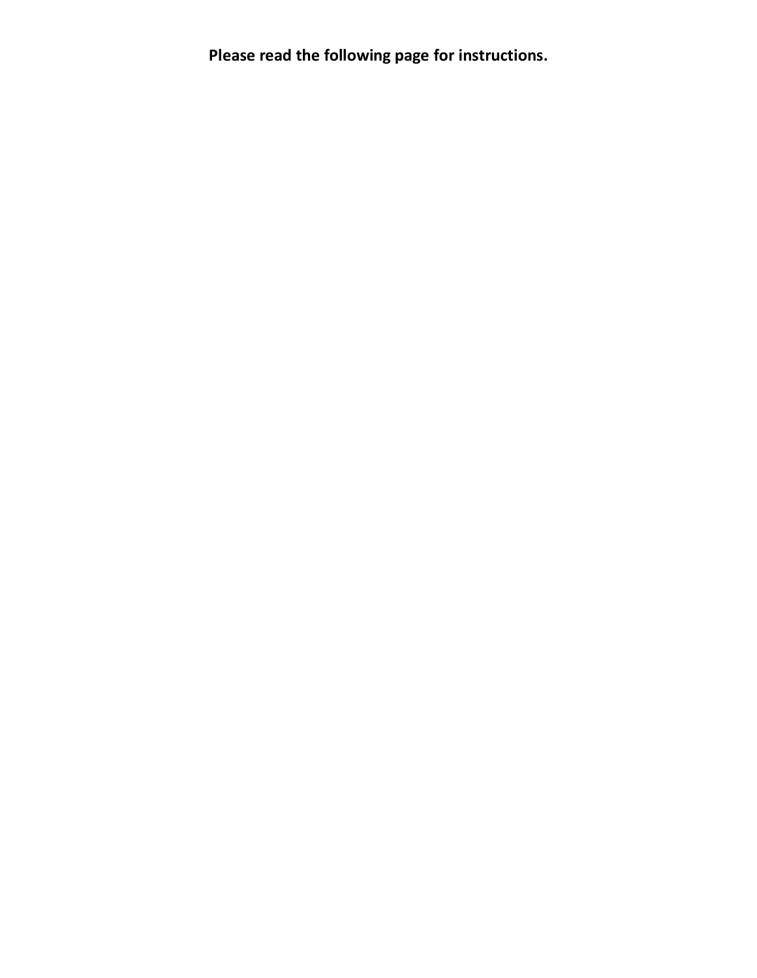**Please read the following page for instructions.**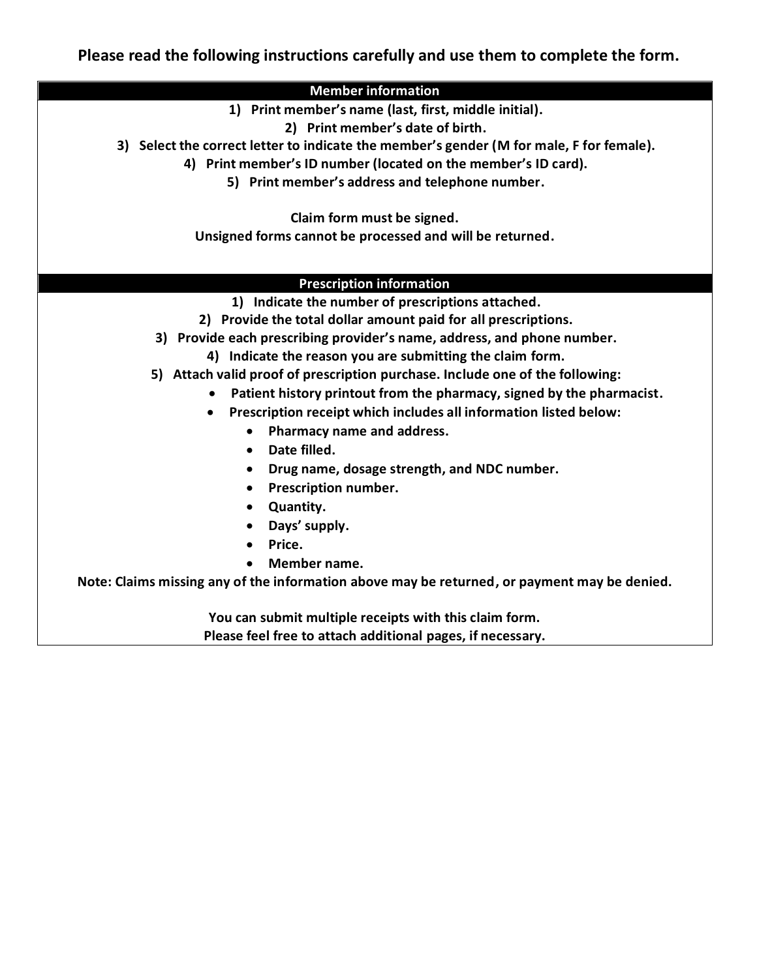**Please read the following instructions carefully and use them to complete the form.**